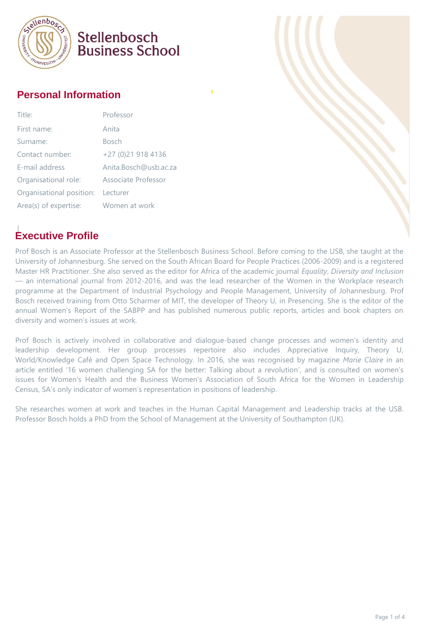

# Stellenbosch **Business School**

#### **Personal Information**

| Title:                   | Professor             |
|--------------------------|-----------------------|
| First name:              | Anita                 |
| Surname:                 | <b>Bosch</b>          |
| Contact number:          | +27 (0)21 918 4136    |
| E-mail address           | Anita.Bosch@usb.ac.za |
| Organisational role:     | Associate Professor   |
| Organisational position: | Lecturer              |
| Area(s) of expertise:    | Women at work         |

## **Executive Profile**

Prof Bosch is an Associate Professor at the Stellenbosch Business School. Before coming to the USB, she taught at the University of Johannesburg. She served on the South African Board for People Practices (2006-2009) and is a registered Master HR Practitioner. She also served as the editor for Africa of the academic journal *Equality*, *Diversity and Inclusion* — an international journal from 2012-2016, and was the lead researcher of the Women in the Workplace research programme at the Department of Industrial Psychology and People Management, University of Johannesburg. Prof Bosch received training from Otto Scharmer of MIT, the developer of Theory U, in Presencing. She is the editor of the annual Women's Report of the SABPP and has published numerous public reports, articles and book chapters on diversity and women's issues at work.

Prof Bosch is actively involved in collaborative and dialogue-based change processes and women's identity and leadership development. Her group processes repertoire also includes Appreciative Inquiry, Theory U, World/Knowledge Café and Open Space Technology. In 2016, she was recognised by magazine *Marie Claire* in an article entitled '16 women challenging SA for the better: Talking about a revolution', and is consulted on women's issues for Women's Health and the Business Women's Association of South Africa for the Women in Leadership Census, SA's only indicator of women's representation in positions of leadership.

She researches women at work and teaches in the Human Capital Management and Leadership tracks at the USB. Professor Bosch holds a PhD from the School of Management at the University of Southampton (UK).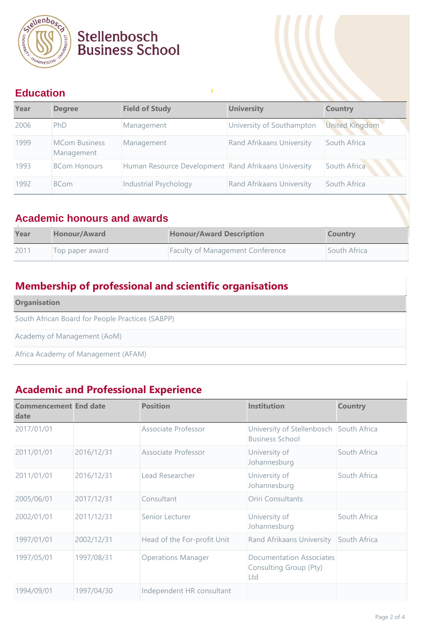

# Stellenbosch<br>Business School

### **Education**

| Year | <b>Degree</b>                      | <b>Field of Study</b>                                | <b>University</b>                | <b>Country</b>        |
|------|------------------------------------|------------------------------------------------------|----------------------------------|-----------------------|
| 2006 | PhD                                | Management                                           | University of Southampton        | <b>United Kingdom</b> |
| 1999 | <b>MCom Business</b><br>Management | Management                                           | <b>Rand Afrikaans University</b> | South Africa          |
| 1993 | <b>BCom Honours</b>                | Human Resource Development Rand Afrikaans University |                                  | South Africa          |
| 1992 | <b>BCom</b>                        | Industrial Psychology                                | Rand Afrikaans University        | South Africa          |

#### **Academic honours and awards**

| Year | <b>Honour/Award</b> | <b>Honour/Award Description</b>         | <b>Country</b> |
|------|---------------------|-----------------------------------------|----------------|
| 2011 | Top paper award     | <b>Faculty of Management Conference</b> | South Africa   |

## **Membership of professional and scientific organisations**

| <b>Organisation</b>                              |
|--------------------------------------------------|
| South African Board for People Practices (SABPP) |
| Academy of Management (AoM)                      |
| Africa Academy of Management (AFAM)              |

## **Academic and Professional Experience**

| <b>Commencement End date</b><br>date |            | <b>Position</b>             | <b>Institution</b>                                                | <b>Country</b> |  |
|--------------------------------------|------------|-----------------------------|-------------------------------------------------------------------|----------------|--|
| 2017/01/01                           |            | Associate Professor         | University of Stellenbosch South Africa<br><b>Business School</b> |                |  |
| 2011/01/01                           | 2016/12/31 | Associate Professor         | University of<br>Johannesburg                                     | South Africa   |  |
| 2011/01/01                           | 2016/12/31 | Lead Researcher             | University of<br>Johannesburg                                     | South Africa   |  |
| 2005/06/01                           | 2017/12/31 | Consultant                  | <b>Oriri Consultants</b>                                          |                |  |
| 2002/01/01                           | 2011/12/31 | Senior Lecturer             | University of<br>Johannesburg                                     | South Africa   |  |
| 1997/01/01                           | 2002/12/31 | Head of the For-profit Unit | Rand Afrikaans University                                         | South Africa   |  |
| 1997/05/01                           | 1997/08/31 | <b>Operations Manager</b>   | <b>Documentation Associates</b><br>Consulting Group (Pty)<br>Ltd  |                |  |
| 1994/09/01                           | 1997/04/30 | Independent HR consultant   |                                                                   |                |  |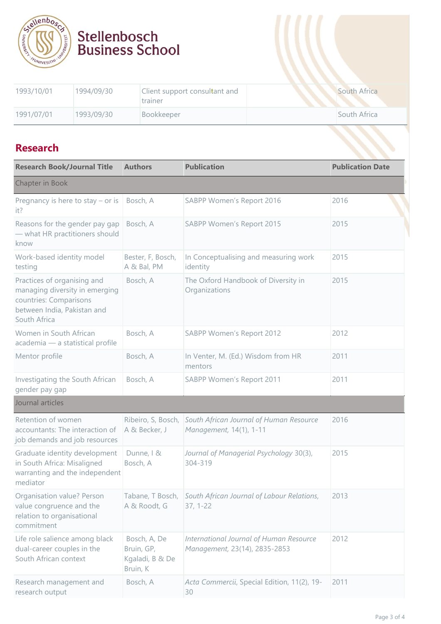

# 1993/10/01 1994/09/30 Client support consultant and trainer South Africa 1991/07/01 1993/09/30 Bookkeeper South Africa

Stellenbosch<br>Business School

#### **Research**

| <b>Research</b>                                                                                                                        |                                                           |                                                                          |                         |
|----------------------------------------------------------------------------------------------------------------------------------------|-----------------------------------------------------------|--------------------------------------------------------------------------|-------------------------|
| <b>Research Book/Journal Title</b>                                                                                                     | <b>Authors</b>                                            | <b>Publication</b>                                                       | <b>Publication Date</b> |
| Chapter in Book                                                                                                                        |                                                           |                                                                          |                         |
| Pregnancy is here to stay $-$ or is<br>it?                                                                                             | Bosch, A                                                  | SABPP Women's Report 2016                                                | 2016                    |
| Reasons for the gender pay gap<br>- what HR practitioners should<br>know                                                               | Bosch, A                                                  | SABPP Women's Report 2015                                                | 2015                    |
| Work-based identity model<br>testing                                                                                                   | Bester, F, Bosch,<br>A & Bal, PM                          | In Conceptualising and measuring work<br>identity                        | 2015                    |
| Practices of organising and<br>managing diversity in emerging<br>countries: Comparisons<br>between India, Pakistan and<br>South Africa | Bosch, A                                                  | The Oxford Handbook of Diversity in<br>Organizations                     | 2015                    |
| Women in South African<br>academia - a statistical profile                                                                             | Bosch, A                                                  | SABPP Women's Report 2012                                                | 2012                    |
| Mentor profile                                                                                                                         | Bosch, A                                                  | In Venter, M. (Ed.) Wisdom from HR<br>mentors                            | 2011                    |
| Investigating the South African<br>gender pay gap                                                                                      | Bosch, A                                                  | SABPP Women's Report 2011                                                | 2011                    |
| Journal articles                                                                                                                       |                                                           |                                                                          |                         |
| Retention of women<br>accountants: The interaction of<br>job demands and job resources                                                 | Ribeiro, S, Bosch,<br>A & Becker, J                       | South African Journal of Human Resource<br>Management, 14(1), 1-11       | 2016                    |
| Graduate identity development<br>in South Africa: Misaligned<br>warranting and the independent<br>mediator                             | Dunne, I &<br>Bosch, A                                    | Journal of Managerial Psychology 30(3),<br>304-319                       | 2015                    |
| Organisation value? Person<br>value congruence and the<br>relation to organisational<br>commitment                                     | Tabane, T Bosch,<br>A & Roodt, G                          | South African Journal of Labour Relations,<br>$37, 1 - 22$               | 2013                    |
| Life role salience among black<br>dual-career couples in the<br>South African context                                                  | Bosch, A, De<br>Bruin, GP,<br>Kgaladi, B & De<br>Bruin, K | International Journal of Human Resource<br>Management, 23(14), 2835-2853 | 2012                    |
| Research management and<br>research output                                                                                             | Bosch, A                                                  | Acta Commercii, Special Edition, 11(2), 19-<br>30                        | 2011                    |